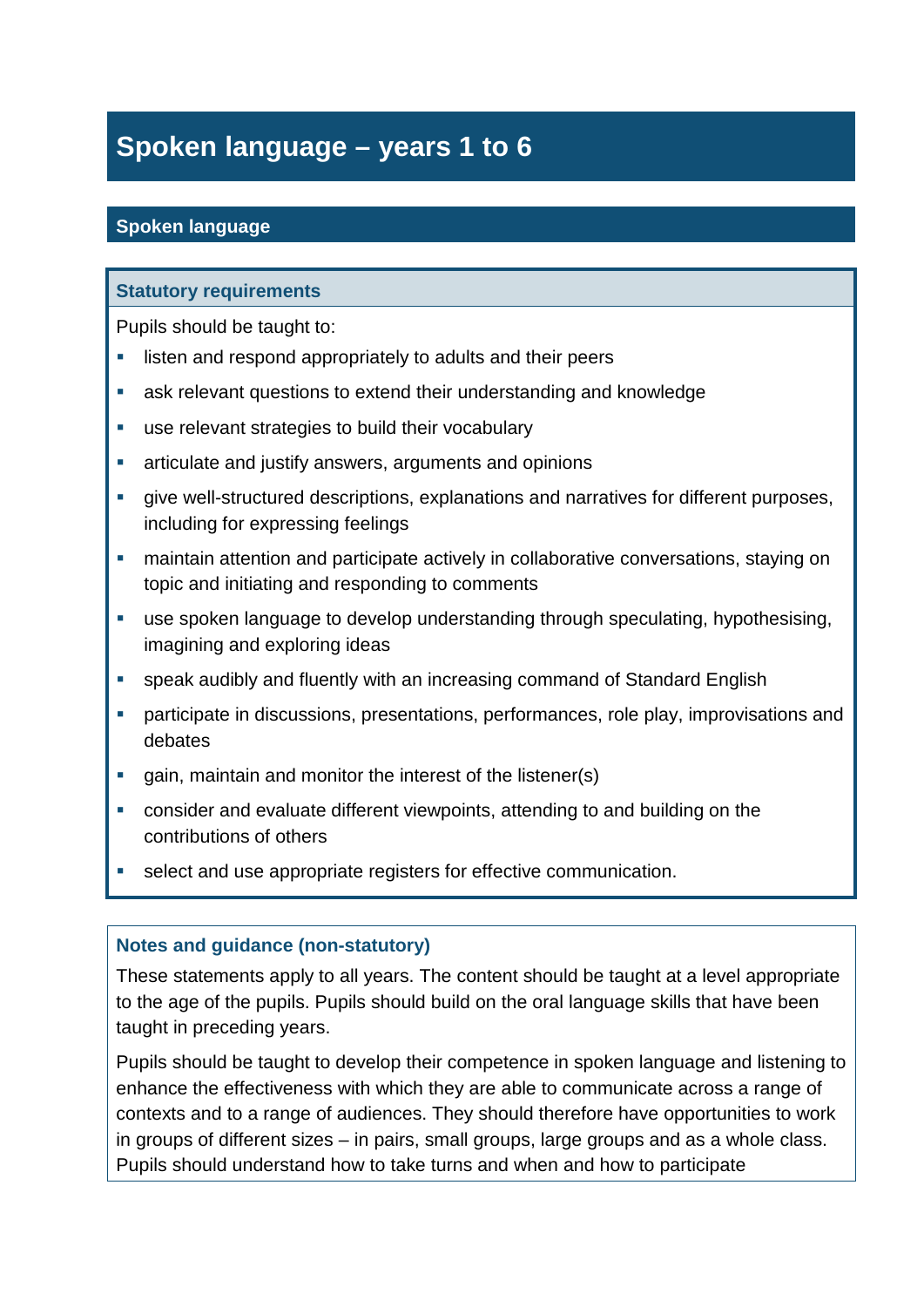# **Spoken language – years 1 to 6**

## **Spoken language**

### **Statutory requirements**

Pupils should be taught to:

- **EXECTE 1** listen and respond appropriately to adults and their peers
- ask relevant questions to extend their understanding and knowledge
- use relevant strategies to build their vocabulary
- **E** articulate and justify answers, arguments and opinions
- give well-structured descriptions, explanations and narratives for different purposes, including for expressing feelings
- maintain attention and participate actively in collaborative conversations, staying on topic and initiating and responding to comments
- use spoken language to develop understanding through speculating, hypothesising, imagining and exploring ideas
- speak audibly and fluently with an increasing command of Standard English
- participate in discussions, presentations, performances, role play, improvisations and debates
- **gain, maintain and monitor the interest of the listener(s)**
- consider and evaluate different viewpoints, attending to and building on the contributions of others
- select and use appropriate registers for effective communication.

#### **Notes and guidance (non-statutory)**

These statements apply to all years. The content should be taught at a level appropriate to the age of the pupils. Pupils should build on the oral language skills that have been taught in preceding years.

Pupils should be taught to develop their competence in spoken language and listening to enhance the effectiveness with which they are able to communicate across a range of contexts and to a range of audiences. They should therefore have opportunities to work in groups of different sizes – in pairs, small groups, large groups and as a whole class. Pupils should understand how to take turns and when and how to participate